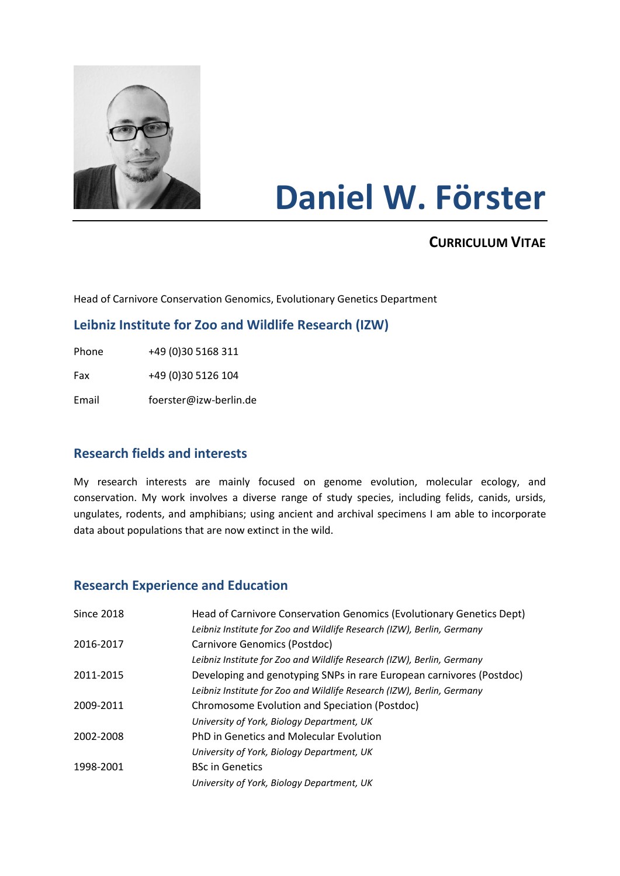

# **Daniel W. Förster**

# **CURRICULUM VITAE**

Head of Carnivore Conservation Genomics, Evolutionary Genetics Department

## **Leibniz Institute for Zoo and Wildlife Research (IZW)**

Phone +49 (0)30 5168 311

Fax +49 (0)30 5126 104

Email foerster@izw-berlin.de

## **Research fields and interests**

My research interests are mainly focused on genome evolution, molecular ecology, and conservation. My work involves a diverse range of study species, including felids, canids, ursids, ungulates, rodents, and amphibians; using ancient and archival specimens I am able to incorporate data about populations that are now extinct in the wild.

## **Research Experience and Education**

| <b>Since 2018</b> | Head of Carnivore Conservation Genomics (Evolutionary Genetics Dept)   |
|-------------------|------------------------------------------------------------------------|
|                   | Leibniz Institute for Zoo and Wildlife Research (IZW), Berlin, Germany |
| 2016-2017         | Carnivore Genomics (Postdoc)                                           |
|                   | Leibniz Institute for Zoo and Wildlife Research (IZW), Berlin, Germany |
| 2011-2015         | Developing and genotyping SNPs in rare European carnivores (Postdoc)   |
|                   | Leibniz Institute for Zoo and Wildlife Research (IZW), Berlin, Germany |
| 2009-2011         | Chromosome Evolution and Speciation (Postdoc)                          |
|                   | University of York, Biology Department, UK                             |
| 2002-2008         | PhD in Genetics and Molecular Evolution                                |
|                   | University of York, Biology Department, UK                             |
| 1998-2001         | <b>BSc in Genetics</b>                                                 |
|                   | University of York, Biology Department, UK                             |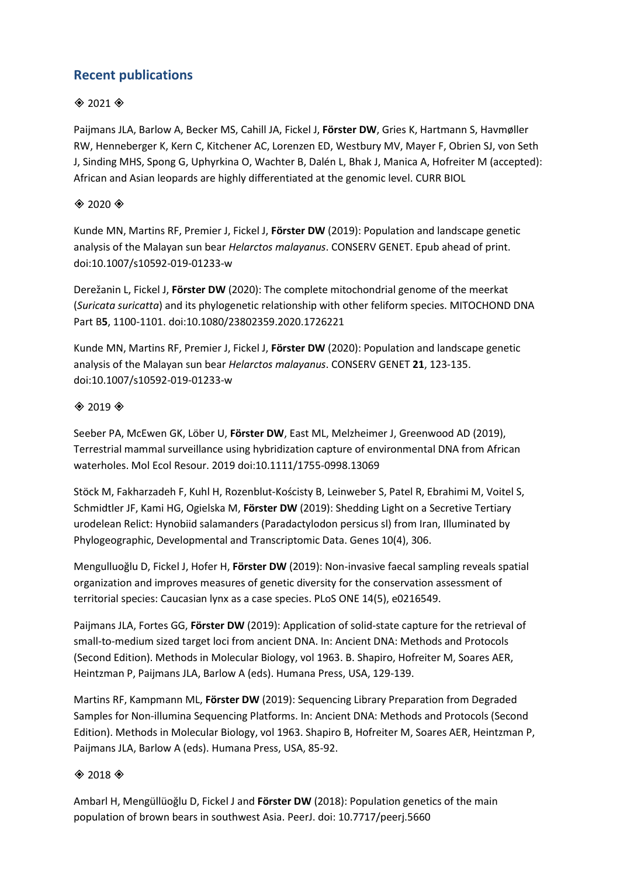# **Recent publications**

#### $*$  2021  $*$

Paijmans JLA, Barlow A, Becker MS, Cahill JA, Fickel J, **Förster DW**, Gries K, Hartmann S, Havmøller RW, Henneberger K, Kern C, Kitchener AC, Lorenzen ED, Westbury MV, Mayer F, Obrien SJ, von Seth J, Sinding MHS, Spong G, Uphyrkina O, Wachter B, Dalén L, Bhak J, Manica A, Hofreiter M (accepted): African and Asian leopards are highly differentiated at the genomic level. CURR BIOL

#### $*$  2020  $*$

Kunde MN, Martins RF, Premier J, Fickel J, **Förster DW** (2019): Population and landscape genetic analysis of the Malayan sun bear *Helarctos malayanus*. CONSERV GENET. Epub ahead of print. doi:10.1007/s10592-019-01233-w

Derežanin L, Fickel J, **Förster DW** (2020): The complete mitochondrial genome of the meerkat (*Suricata suricatta*) and its phylogenetic relationship with other feliform species. MITOCHOND DNA Part B**5**, 1100-1101. doi:10.1080/23802359.2020.1726221

Kunde MN, Martins RF, Premier J, Fickel J, **Förster DW** (2020): Population and landscape genetic analysis of the Malayan sun bear *Helarctos malayanus*. CONSERV GENET **21**, 123-135. doi:10.1007/s10592-019-01233-w

#### $*$  2019 $*$

Seeber PA, McEwen GK, Löber U, **Förster DW**, East ML, Melzheimer J, Greenwood AD (2019), Terrestrial mammal surveillance using hybridization capture of environmental DNA from African waterholes. Mol Ecol Resour. 2019 doi:10.1111/1755-0998.13069

Stöck M, Fakharzadeh F, Kuhl H, Rozenblut-Kościsty B, Leinweber S, Patel R, Ebrahimi M, Voitel S, Schmidtler JF, Kami HG, Ogielska M, **Förster DW** (2019): Shedding Light on a Secretive Tertiary urodelean Relict: Hynobiid salamanders (Paradactylodon persicus sl) from Iran, Illuminated by Phylogeographic, Developmental and Transcriptomic Data. Genes 10(4), 306.

Mengulluoğlu D, Fickel J, Hofer H, **Förster DW** (2019): Non-invasive faecal sampling reveals spatial organization and improves measures of genetic diversity for the conservation assessment of territorial species: Caucasian lynx as a case species. PLoS ONE 14(5), e0216549.

Paijmans JLA, Fortes GG, **Förster DW** (2019): Application of solid-state capture for the retrieval of small-to-medium sized target loci from ancient DNA. In: Ancient DNA: Methods and Protocols (Second Edition). Methods in Molecular Biology, vol 1963. B. Shapiro, Hofreiter M, Soares AER, Heintzman P, Paijmans JLA, Barlow A (eds). Humana Press, USA, 129-139.

Martins RF, Kampmann ML, **Förster DW** (2019): Sequencing Library Preparation from Degraded Samples for Non-illumina Sequencing Platforms. In: Ancient DNA: Methods and Protocols (Second Edition). Methods in Molecular Biology, vol 1963. Shapiro B, Hofreiter M, Soares AER, Heintzman P, Paijmans JLA, Barlow A (eds). Humana Press, USA, 85-92.

#### $*$  2018 $*$

Ambarl H, Mengüllüoğlu D, Fickel J and **Förster DW** (2018): Population genetics of the main population of brown bears in southwest Asia. PeerJ. doi: 10.7717/peerj.5660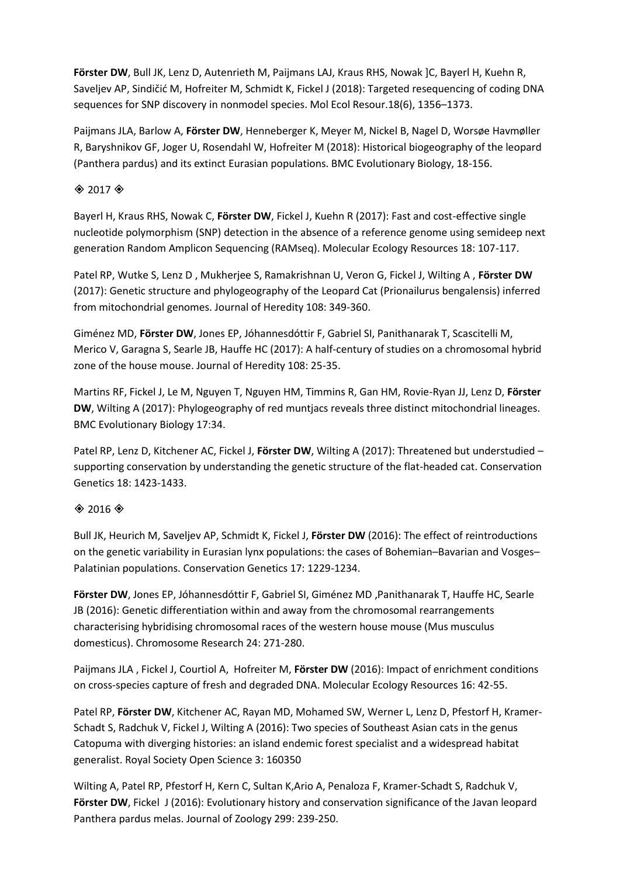**Förster DW**, Bull JK, Lenz D, Autenrieth M, Paijmans LAJ, Kraus RHS, Nowak ]C, Bayerl H, Kuehn R, Saveljev AP, Sindičić M, Hofreiter M, Schmidt K, Fickel J (2018): Targeted resequencing of coding DNA sequences for SNP discovery in nonmodel species. Mol Ecol Resour.18(6), 1356–1373.

Paijmans JLA, Barlow A, **Förster DW**, Henneberger K, Meyer M, Nickel B, Nagel D, Worsøe Havmøller R, Baryshnikov GF, Joger U, Rosendahl W, Hofreiter M (2018): Historical biogeography of the leopard (Panthera pardus) and its extinct Eurasian populations. BMC Evolutionary Biology, 18-156.

#### $\textcircled{*}$  2017 $\textcircled{*}$

Bayerl H, Kraus RHS, Nowak C, **Förster DW**, Fickel J, Kuehn R (2017): Fast and cost-effective single nucleotide polymorphism (SNP) detection in the absence of a reference genome using semideep next generation Random Amplicon Sequencing (RAMseq). Molecular Ecology Resources 18: 107-117.

Patel RP, Wutke S, Lenz D , Mukherjee S, Ramakrishnan U, Veron G, Fickel J, Wilting A , **Förster DW** (2017): Genetic structure and phylogeography of the Leopard Cat (Prionailurus bengalensis) inferred from mitochondrial genomes. Journal of Heredity 108: 349-360.

Giménez MD, **Förster DW**, Jones EP, Jóhannesdóttir F, Gabriel SI, Panithanarak T, Scascitelli M, Merico V, Garagna S, Searle JB, Hauffe HC (2017): A half-century of studies on a chromosomal hybrid zone of the house mouse. Journal of Heredity 108: 25-35.

Martins RF, Fickel J, Le M, Nguyen T, Nguyen HM, Timmins R, Gan HM, Rovie-Ryan JJ, Lenz D, **Förster DW**, Wilting A (2017): Phylogeography of red muntjacs reveals three distinct mitochondrial lineages. BMC Evolutionary Biology 17:34.

Patel RP, Lenz D, Kitchener AC, Fickel J, **Förster DW**, Wilting A (2017): Threatened but understudied – supporting conservation by understanding the genetic structure of the flat-headed cat. Conservation Genetics 18: 1423-1433.

## $*$  2016 $*$

Bull JK, Heurich M, Saveljev AP, Schmidt K, Fickel J, **Förster DW** (2016): The effect of reintroductions on the genetic variability in Eurasian lynx populations: the cases of Bohemian–Bavarian and Vosges– Palatinian populations. Conservation Genetics 17: 1229-1234.

**Förster DW**, Jones EP, Jóhannesdóttir F, Gabriel SI, Giménez MD ,Panithanarak T, Hauffe HC, Searle JB (2016): Genetic differentiation within and away from the chromosomal rearrangements characterising hybridising chromosomal races of the western house mouse (Mus musculus domesticus). Chromosome Research 24: 271-280.

Paijmans JLA , Fickel J, Courtiol A, Hofreiter M, **Förster DW** (2016): Impact of enrichment conditions on cross‐species capture of fresh and degraded DNA. Molecular Ecology Resources 16: 42-55.

Patel RP, **Förster DW**, Kitchener AC, Rayan MD, Mohamed SW, Werner L, Lenz D, Pfestorf H, Kramer-Schadt S, Radchuk V, Fickel J, Wilting A (2016): Two species of Southeast Asian cats in the genus Catopuma with diverging histories: an island endemic forest specialist and a widespread habitat generalist. Royal Society Open Science 3: 160350

Wilting A, Patel RP, Pfestorf H, Kern C, Sultan K,Ario A, Penaloza F, Kramer-Schadt S, Radchuk V, **Förster DW**, Fickel J (2016): Evolutionary history and conservation significance of the Javan leopard Panthera pardus melas. Journal of Zoology 299: 239-250.